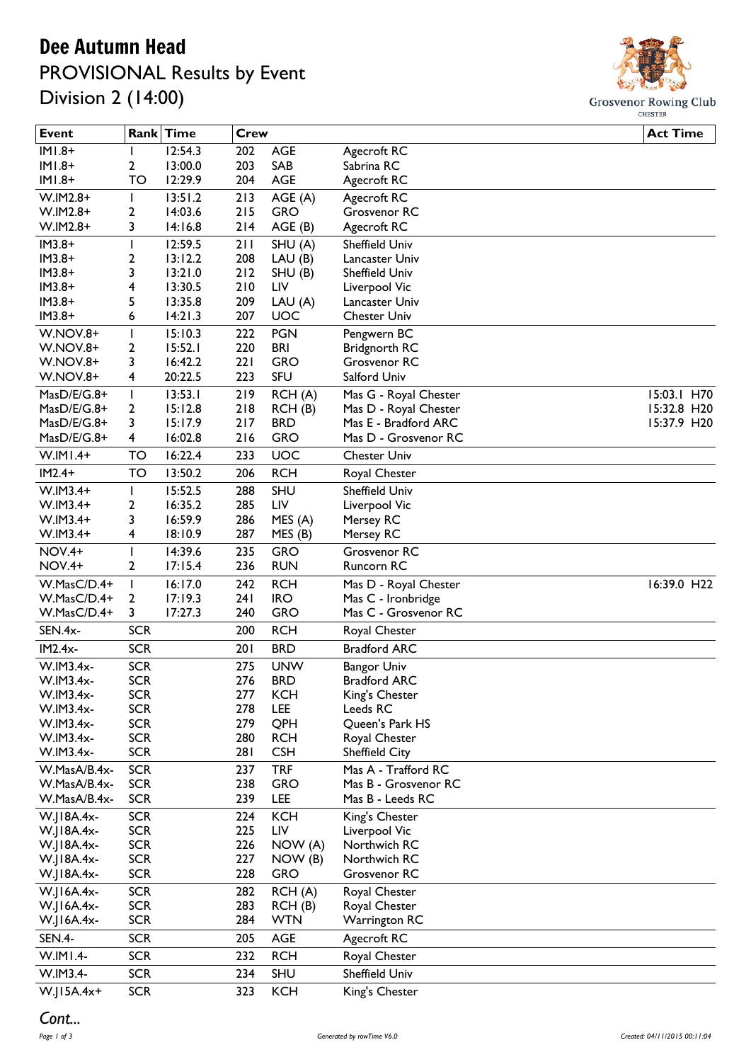## Dee Autumn Head PROVISIONAL Results by Event Division 2 (14:00)



| <b>Event</b>           |                          | Rank Time | <b>Crew</b> |                   |                                  | <b>Act Time</b> |
|------------------------|--------------------------|-----------|-------------|-------------------|----------------------------------|-----------------|
| $IMI.8+$               |                          | 12:54.3   | 202         | <b>AGE</b>        | Agecroft RC                      |                 |
| $IMI.8+$               | 2                        | 13:00.0   | 203         | SAB               | Sabrina RC                       |                 |
| $IMI.8+$               | <b>TO</b>                | 12:29.9   | 204         | <b>AGE</b>        | Agecroft RC                      |                 |
| W.IM2.8+               | I                        | 13:51.2   | 213         | AGE (A)           | Agecroft RC                      |                 |
| W.IM2.8+               | 2                        | 14:03.6   | 215         | <b>GRO</b>        | Grosvenor RC                     |                 |
| $W.IM2.8+$             | 3                        | 14:16.8   | 214         | AGE(B)            | Agecroft RC                      |                 |
| $IM3.8+$               | I                        | 12:59.5   | 211         | SHU(A)            | Sheffield Univ                   |                 |
| $IM3.8+$               | 2                        | 13:12.2   | 208         | LAU(B)            | Lancaster Univ                   |                 |
| $IM3.8+$               | 3                        | 13:21.0   | $212$       | SHU(B)            | Sheffield Univ                   |                 |
| $IM3.8+$               | 4                        | 13:30.5   | 210         | LIV               | Liverpool Vic                    |                 |
| $IM3.8+$               | 5                        | 13:35.8   | 209         | LAU (A)           | <b>Lancaster Univ</b>            |                 |
| $IM3.8+$               | 6                        | 14:21.3   | 207         | UOC               | <b>Chester Univ</b>              |                 |
| <b>W.NOV.8+</b>        | I                        | 15:10.3   | 222         | <b>PGN</b>        | Pengwern BC                      |                 |
| <b>W.NOV.8+</b>        | $\mathbf{2}$             | 15:52.1   | 220         | <b>BRI</b>        | <b>Bridgnorth RC</b>             |                 |
| $W.NOV.8+$             | 3                        | 16:42.2   | 221         | <b>GRO</b>        | Grosvenor RC                     |                 |
| <b>W.NOV.8+</b>        | 4                        | 20:22.5   | 223         | SFU               | Salford Univ                     |                 |
| MasD/E/G.8+            | L                        | 13:53.1   | 219         | RCH(A)            | Mas G - Royal Chester            | 15:03.1 H70     |
| MasD/E/G.8+            | 2                        | 15:12.8   | 218         | RCH (B)           | Mas D - Royal Chester            | 15:32.8 H20     |
| MasD/E/G.8+            | 3                        | 15:17.9   | 217         | <b>BRD</b>        | Mas E - Bradford ARC             | 15:37.9 H20     |
| MasD/E/G.8+            | 4                        | 16:02.8   | 216         | <b>GRO</b>        | Mas D - Grosvenor RC             |                 |
| $W.IMI.4+$             | TO                       | 16:22.4   | 233         | UOC               | <b>Chester Univ</b>              |                 |
| $IM2.4+$               | TO                       | 13:50.2   | 206         | <b>RCH</b>        | Royal Chester                    |                 |
| W.IM3.4+               | ı                        | 15:52.5   | 288         | <b>SHU</b>        | Sheffield Univ                   |                 |
| $W.IM3.4+$             | 2                        | 16:35.2   | 285         | LIV               | Liverpool Vic                    |                 |
| $W.IM3.4+$             | 3                        | 16:59.9   | 286         | MES (A)           | Mersey RC                        |                 |
| W.IM3.4+               | 4                        | 18:10.9   | 287         | MES(B)            | Mersey RC                        |                 |
| $NOV.4+$               | I                        | 14:39.6   | 235         | <b>GRO</b>        | <b>Grosvenor RC</b>              |                 |
| <b>NOV.4+</b>          | $\overline{2}$           | 17:15.4   | 236         | <b>RUN</b>        | Runcorn RC                       |                 |
| W.MasC/D.4+            | L                        | 16:17.0   | 242         | <b>RCH</b>        | Mas D - Royal Chester            | 16:39.0 H22     |
| W.MasC/D.4+            | $\overline{2}$           | 17:19.3   | 241         | <b>IRO</b>        | Mas C - Ironbridge               |                 |
| W.MasC/D.4+            | 3                        | 17:27.3   | 240         | <b>GRO</b>        | Mas C - Grosvenor RC             |                 |
| SEN.4x-                | <b>SCR</b>               |           | 200         | <b>RCH</b>        | Royal Chester                    |                 |
| $IM2.4x-$              | <b>SCR</b>               |           | 201         | <b>BRD</b>        | <b>Bradford ARC</b>              |                 |
| W.IM3.4x-              | <b>SCR</b>               |           | 275         | <b>UNW</b>        | <b>Bangor Univ</b>               |                 |
| W.IM3.4x-              | <b>SCR</b>               |           | 276         | <b>BRD</b>        | <b>Bradford ARC</b>              |                 |
| W.IM3.4x-              | <b>SCR</b>               |           | 277         | <b>KCH</b>        | King's Chester                   |                 |
| W.IM3.4x-              | <b>SCR</b><br><b>SCR</b> |           | 278         | <b>LEE</b>        | Leeds RC                         |                 |
| W.IM3.4x-<br>W.IM3.4x- | <b>SCR</b>               |           | 279<br>280  | QPH<br><b>RCH</b> | Queen's Park HS<br>Royal Chester |                 |
| W.IM3.4x-              | <b>SCR</b>               |           | 281         | <b>CSH</b>        | Sheffield City                   |                 |
| W.MasA/B.4x-           | <b>SCR</b>               |           | 237         | <b>TRF</b>        | Mas A - Trafford RC              |                 |
| W.MasA/B.4x-           | <b>SCR</b>               |           | 238         | <b>GRO</b>        | Mas B - Grosvenor RC             |                 |
| W.MasA/B.4x-           | <b>SCR</b>               |           | 239         | LEE               | Mas B - Leeds RC                 |                 |
| W.J18A.4x-             | <b>SCR</b>               |           | 224         | <b>KCH</b>        | King's Chester                   |                 |
| W.J18A.4x-             | <b>SCR</b>               |           | 225         | LIV               | Liverpool Vic                    |                 |
| W.J18A.4x-             | <b>SCR</b>               |           | 226         | NOW (A)           | Northwich RC                     |                 |
| W.J18A.4x-             | <b>SCR</b>               |           | 227         | NOW (B)           | Northwich RC                     |                 |
| W.J18A.4x-             | <b>SCR</b>               |           | 228         | <b>GRO</b>        | Grosvenor RC                     |                 |
| W.J16A.4x-             | <b>SCR</b>               |           | 282         | RCH(A)            | Royal Chester                    |                 |
| W.J16A.4x-             | <b>SCR</b>               |           | 283         | RCH(B)            | Royal Chester                    |                 |
| W.J16A.4x-             | <b>SCR</b>               |           | 284         | <b>WTN</b>        | <b>Warrington RC</b>             |                 |
| <b>SEN.4-</b>          | <b>SCR</b>               |           | 205         | <b>AGE</b>        | Agecroft RC                      |                 |
| W.IMI.4-               | <b>SCR</b>               |           | 232         | <b>RCH</b>        | Royal Chester                    |                 |
| W.IM3.4-               | <b>SCR</b>               |           | 234         | <b>SHU</b>        | Sheffield Univ                   |                 |
| $W.JI5A.4x+$           | <b>SCR</b>               |           | 323         | <b>KCH</b>        | King's Chester                   |                 |

*Cont...*<br>Page 1 of 3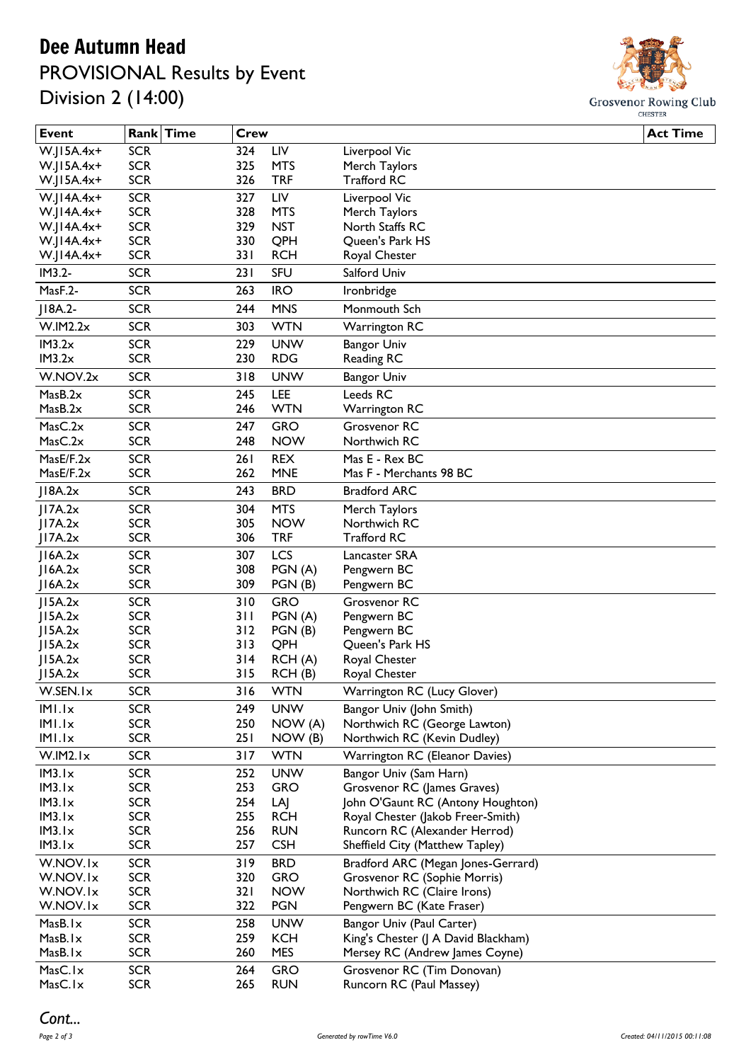## Dee Autumn Head PROVISIONAL Results by Event Division 2 (14:00)



| <b>Event</b>        | Rank Time                | Crew       |                          |                                     | <b>Act Time</b> |
|---------------------|--------------------------|------------|--------------------------|-------------------------------------|-----------------|
| W.J15A.4x+          | <b>SCR</b>               | 324        | LIV                      | Liverpool Vic                       |                 |
| $W.J15A.4x+$        | <b>SCR</b>               | 325        | <b>MTS</b>               | Merch Taylors                       |                 |
| $W.J15A.4x+$        | <b>SCR</b>               | 326        | <b>TRF</b>               | <b>Trafford RC</b>                  |                 |
| $W.$   14A.4x+      | <b>SCR</b>               | 327        | LIV                      | Liverpool Vic                       |                 |
| $W$ .JI4A.4x+       | <b>SCR</b>               | 328        | <b>MTS</b>               | Merch Taylors                       |                 |
| $W$ .JI4A.4x+       | <b>SCR</b>               | 329        | <b>NST</b>               | North Staffs RC                     |                 |
| $W.JI4A.4x+$        | <b>SCR</b>               | 330        | QPH                      | Queen's Park HS                     |                 |
| $W.JI4A.4x+$        | <b>SCR</b>               | 331        | <b>RCH</b>               | Royal Chester                       |                 |
| $IM3.2-$            | <b>SCR</b>               | 231        | SFU                      | Salford Univ                        |                 |
| MasF.2-             | <b>SCR</b>               | 263        | <b>IRO</b>               | Ironbridge                          |                 |
| $ 18A.2-$           | <b>SCR</b>               | 244        | <b>MNS</b>               | Monmouth Sch                        |                 |
| W.IM2.2x            | <b>SCR</b>               | 303        | <b>WTN</b>               | <b>Warrington RC</b>                |                 |
| IM3.2x              | <b>SCR</b>               | 229        | <b>UNW</b>               | <b>Bangor Univ</b>                  |                 |
| IM3.2x              | <b>SCR</b>               | 230        | <b>RDG</b>               | Reading RC                          |                 |
| W.NOV.2x            | <b>SCR</b>               | 318        | <b>UNW</b>               | <b>Bangor Univ</b>                  |                 |
| MasB.2x             | <b>SCR</b>               | 245        | LEE                      | Leeds RC                            |                 |
| MasB.2x             | <b>SCR</b>               | 246        | <b>WTN</b>               | <b>Warrington RC</b>                |                 |
|                     |                          |            |                          |                                     |                 |
| MasC.2x             | <b>SCR</b>               | 247        | <b>GRO</b>               | Grosvenor RC                        |                 |
| MasC.2x             | <b>SCR</b>               | 248        | <b>NOW</b>               | Northwich RC                        |                 |
| MasE/F.2x           | <b>SCR</b>               | 261        | <b>REX</b>               | Mas E - Rex BC                      |                 |
| MasE/F.2x           | <b>SCR</b>               | 262        | <b>MNE</b>               | Mas F - Merchants 98 BC             |                 |
| J18A.2x             | <b>SCR</b>               | 243        | <b>BRD</b>               | <b>Bradford ARC</b>                 |                 |
| 17A.2x              | <b>SCR</b>               | 304        | <b>MTS</b>               | Merch Taylors                       |                 |
| 17A.2x              | <b>SCR</b>               | 305        | <b>NOW</b>               | Northwich RC                        |                 |
| JI7A.2x             | <b>SCR</b>               | 306        | <b>TRF</b>               | Trafford RC                         |                 |
| 16A.2x              | <b>SCR</b>               | 307        | LCS                      | Lancaster SRA                       |                 |
| 16A.2x              | <b>SCR</b>               | 308        | PGN(A)                   | Pengwern BC                         |                 |
| J16A.2x             | <b>SCR</b>               | 309        | PGN(B)                   | Pengwern BC                         |                 |
| $ $ I 5A.2 $\times$ | <b>SCR</b>               | 310        | <b>GRO</b>               | Grosvenor RC                        |                 |
| I5A.2x              | <b>SCR</b>               | 311        | PGN(A)                   | Pengwern BC                         |                 |
| I5A.2x              | <b>SCR</b>               | 312        | PGN(B)                   | Pengwern BC                         |                 |
| J15A.2x             | <b>SCR</b>               | 313        | QPH                      | Queen's Park HS                     |                 |
| J15A.2x             | <b>SCR</b>               | 314        | RCH(A)                   | Royal Chester                       |                 |
| J15A.2x             | <b>SCR</b>               | 315        | RCH (B)                  | Royal Chester                       |                 |
| W.SEN.Ix            | <b>SCR</b>               | 316        | <b>WTN</b>               | Warrington RC (Lucy Glover)         |                 |
| IMI.Ix              | <b>SCR</b>               | 249        | <b>UNW</b>               | Bangor Univ (John Smith)            |                 |
| IMI.Ix              | <b>SCR</b>               | 250        | NOW (A)                  | Northwich RC (George Lawton)        |                 |
| IMI.Ix              | <b>SCR</b>               | 251        | NOW (B)                  | Northwich RC (Kevin Dudley)         |                 |
| W.IM2.Ix            | <b>SCR</b>               | 317        | <b>WTN</b>               | Warrington RC (Eleanor Davies)      |                 |
| IM3.Ix              | <b>SCR</b>               | 252        | <b>UNW</b>               | Bangor Univ (Sam Harn)              |                 |
| IM3.1x              | <b>SCR</b>               | 253        | <b>GRO</b>               | Grosvenor RC (James Graves)         |                 |
| IM3.Ix              | <b>SCR</b>               | 254        | LAJ                      | John O'Gaunt RC (Antony Houghton)   |                 |
| IM3.Ix              | <b>SCR</b><br><b>SCR</b> | 255<br>256 | <b>RCH</b>               | Royal Chester (Jakob Freer-Smith)   |                 |
| IM3.1x<br>IM3.Ix    | <b>SCR</b>               | 257        | <b>RUN</b><br><b>CSH</b> | Runcorn RC (Alexander Herrod)       |                 |
|                     |                          |            |                          | Sheffield City (Matthew Tapley)     |                 |
| W.NOV.Ix            | <b>SCR</b>               | 319        | <b>BRD</b>               | Bradford ARC (Megan Jones-Gerrard)  |                 |
| W.NOV.Ix            | <b>SCR</b>               | 320        | <b>GRO</b>               | Grosvenor RC (Sophie Morris)        |                 |
| W.NOV.Ix            | <b>SCR</b>               | 321        | <b>NOW</b>               | Northwich RC (Claire Irons)         |                 |
| W.NOV.Ix            | <b>SCR</b>               | 322        | <b>PGN</b>               | Pengwern BC (Kate Fraser)           |                 |
| MasB.lx             | <b>SCR</b>               | 258        | <b>UNW</b>               | Bangor Univ (Paul Carter)           |                 |
| MasB.lx             | <b>SCR</b>               | 259        | <b>KCH</b>               | King's Chester (J A David Blackham) |                 |
| MasB.lx             | <b>SCR</b>               | 260        | <b>MES</b>               | Mersey RC (Andrew James Coyne)      |                 |
| MasC.Ix             | <b>SCR</b>               | 264        | <b>GRO</b>               | Grosvenor RC (Tim Donovan)          |                 |
| MasC.lx             | <b>SCR</b>               | 265        | <b>RUN</b>               | Runcorn RC (Paul Massey)            |                 |

*Cont...*<br>Page 2 of 3